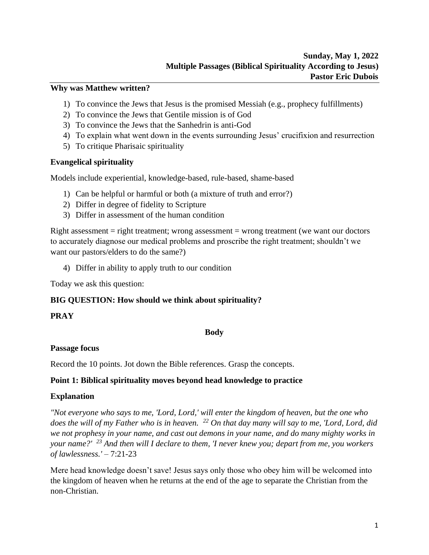#### **Why was Matthew written?**

- 1) To convince the Jews that Jesus is the promised Messiah (e.g., prophecy fulfillments)
- 2) To convince the Jews that Gentile mission is of God
- 3) To convince the Jews that the Sanhedrin is anti-God
- 4) To explain what went down in the events surrounding Jesus' crucifixion and resurrection
- 5) To critique Pharisaic spirituality

#### **Evangelical spirituality**

Models include experiential, knowledge-based, rule-based, shame-based

- 1) Can be helpful or harmful or both (a mixture of truth and error?)
- 2) Differ in degree of fidelity to Scripture
- 3) Differ in assessment of the human condition

Right assessment = right treatment; wrong assessment = wrong treatment (we want our doctors to accurately diagnose our medical problems and proscribe the right treatment; shouldn't we want our pastors/elders to do the same?)

4) Differ in ability to apply truth to our condition

Today we ask this question:

### **BIG QUESTION: How should we think about spirituality?**

#### **PRAY**

#### **Body**

#### **Passage focus**

Record the 10 points. Jot down the Bible references. Grasp the concepts.

### **Point 1: Biblical spirituality moves beyond head knowledge to practice**

#### **Explanation**

*"Not everyone who says to me, 'Lord, Lord,' will enter the kingdom of heaven, but the one who does the will of my Father who is in heaven. <sup>22</sup> On that day many will say to me, 'Lord, Lord, did we not prophesy in your name, and cast out demons in your name, and do many mighty works in your name?' <sup>23</sup> And then will I declare to them, 'I never knew you; depart from me, you workers of lawlessness.'* – 7:21-23

Mere head knowledge doesn't save! Jesus says only those who obey him will be welcomed into the kingdom of heaven when he returns at the end of the age to separate the Christian from the non-Christian.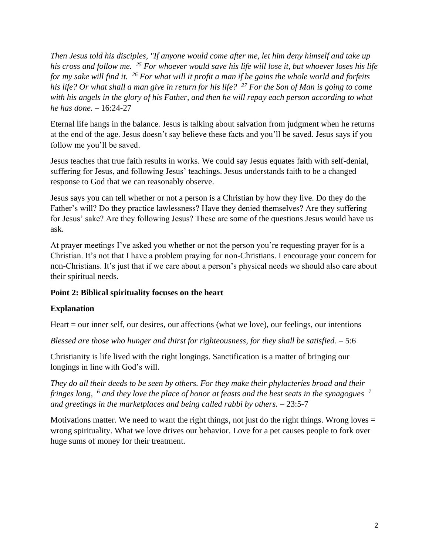*Then Jesus told his disciples, "If anyone would come after me, let him deny himself and take up his cross and follow me. <sup>25</sup> For whoever would save his life will lose it, but whoever loses his life for my sake will find it. <sup>26</sup> For what will it profit a man if he gains the whole world and forfeits his life? Or what shall a man give in return for his life? <sup>27</sup> For the Son of Man is going to come with his angels in the glory of his Father, and then he will repay each person according to what he has done.* – 16:24-27

Eternal life hangs in the balance. Jesus is talking about salvation from judgment when he returns at the end of the age. Jesus doesn't say believe these facts and you'll be saved. Jesus says if you follow me you'll be saved.

Jesus teaches that true faith results in works. We could say Jesus equates faith with self-denial, suffering for Jesus, and following Jesus' teachings. Jesus understands faith to be a changed response to God that we can reasonably observe.

Jesus says you can tell whether or not a person is a Christian by how they live. Do they do the Father's will? Do they practice lawlessness? Have they denied themselves? Are they suffering for Jesus' sake? Are they following Jesus? These are some of the questions Jesus would have us ask.

At prayer meetings I've asked you whether or not the person you're requesting prayer for is a Christian. It's not that I have a problem praying for non-Christians. I encourage your concern for non-Christians. It's just that if we care about a person's physical needs we should also care about their spiritual needs.

# **Point 2: Biblical spirituality focuses on the heart**

# **Explanation**

Heart = our inner self, our desires, our affections (what we love), our feelings, our intentions

*Blessed are those who hunger and thirst for righteousness, for they shall be satisfied.* – 5:6

Christianity is life lived with the right longings. Sanctification is a matter of bringing our longings in line with God's will.

*They do all their deeds to be seen by others. For they make their phylacteries broad and their fringes long, <sup>6</sup> and they love the place of honor at feasts and the best seats in the synagogues <sup>7</sup> and greetings in the marketplaces and being called rabbi by others.* – 23:5-7

Motivations matter. We need to want the right things, not just do the right things. Wrong loves  $=$ wrong spirituality. What we love drives our behavior. Love for a pet causes people to fork over huge sums of money for their treatment.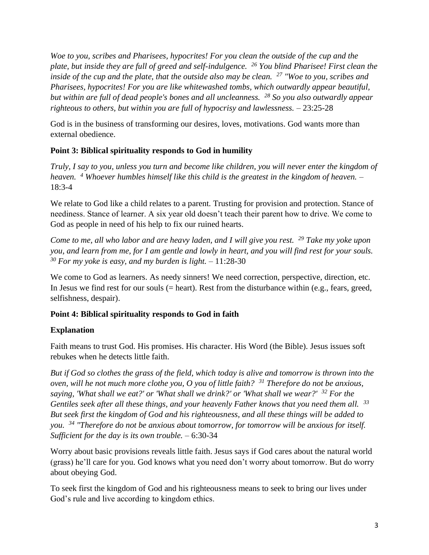*Woe to you, scribes and Pharisees, hypocrites! For you clean the outside of the cup and the plate, but inside they are full of greed and self-indulgence. <sup>26</sup> You blind Pharisee! First clean the inside of the cup and the plate, that the outside also may be clean. <sup>27</sup> "Woe to you, scribes and Pharisees, hypocrites! For you are like whitewashed tombs, which outwardly appear beautiful, but within are full of dead people's bones and all uncleanness. <sup>28</sup> So you also outwardly appear righteous to others, but within you are full of hypocrisy and lawlessness.* – 23:25-28

God is in the business of transforming our desires, loves, motivations. God wants more than external obedience.

## **Point 3: Biblical spirituality responds to God in humility**

*Truly, I say to you, unless you turn and become like children, you will never enter the kingdom of heaven. <sup>4</sup> Whoever humbles himself like this child is the greatest in the kingdom of heaven.* – 18:3-4

We relate to God like a child relates to a parent. Trusting for provision and protection. Stance of neediness. Stance of learner. A six year old doesn't teach their parent how to drive. We come to God as people in need of his help to fix our ruined hearts.

*Come to me, all who labor and are heavy laden, and I will give you rest. <sup>29</sup> Take my yoke upon you, and learn from me, for I am gentle and lowly in heart, and you will find rest for your souls. <sup>30</sup> For my yoke is easy, and my burden is light.* – 11:28-30

We come to God as learners. As needy sinners! We need correction, perspective, direction, etc. In Jesus we find rest for our souls (= heart). Rest from the disturbance within (e.g., fears, greed, selfishness, despair).

# **Point 4: Biblical spirituality responds to God in faith**

### **Explanation**

Faith means to trust God. His promises. His character. His Word (the Bible). Jesus issues soft rebukes when he detects little faith.

*But if God so clothes the grass of the field, which today is alive and tomorrow is thrown into the oven, will he not much more clothe you, O you of little faith? <sup>31</sup> Therefore do not be anxious, saying, 'What shall we eat?' or 'What shall we drink?' or 'What shall we wear?' <sup>32</sup> For the Gentiles seek after all these things, and your heavenly Father knows that you need them all. <sup>33</sup> But seek first the kingdom of God and his righteousness, and all these things will be added to you. <sup>34</sup> "Therefore do not be anxious about tomorrow, for tomorrow will be anxious for itself. Sufficient for the day is its own trouble.* – 6:30-34

Worry about basic provisions reveals little faith. Jesus says if God cares about the natural world (grass) he'll care for you. God knows what you need don't worry about tomorrow. But do worry about obeying God.

To seek first the kingdom of God and his righteousness means to seek to bring our lives under God's rule and live according to kingdom ethics.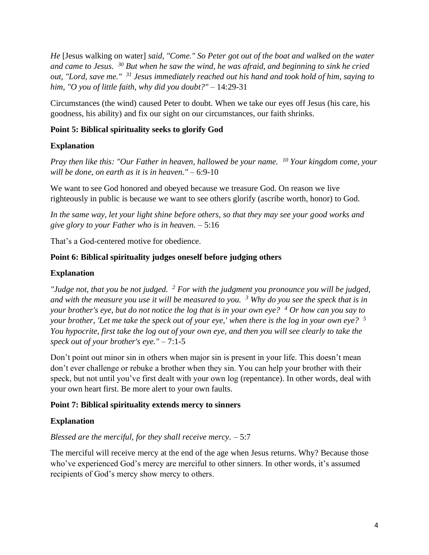*He* [Jesus walking on water] *said, "Come." So Peter got out of the boat and walked on the water and came to Jesus. <sup>30</sup> But when he saw the wind, he was afraid, and beginning to sink he cried out, "Lord, save me." <sup>31</sup> Jesus immediately reached out his hand and took hold of him, saying to him, "O you of little faith, why did you doubt?"* – 14:29-31

Circumstances (the wind) caused Peter to doubt. When we take our eyes off Jesus (his care, his goodness, his ability) and fix our sight on our circumstances, our faith shrinks.

# **Point 5: Biblical spirituality seeks to glorify God**

### **Explanation**

*Pray then like this: "Our Father in heaven, hallowed be your name. <sup>10</sup> Your kingdom come, your will be done, on earth as it is in heaven."* – 6:9-10

We want to see God honored and obeyed because we treasure God. On reason we live righteously in public is because we want to see others glorify (ascribe worth, honor) to God.

*In the same way, let your light shine before others, so that they may see your good works and give glory to your Father who is in heaven.* – 5:16

That's a God-centered motive for obedience.

#### **Point 6: Biblical spirituality judges oneself before judging others**

#### **Explanation**

*"Judge not, that you be not judged. <sup>2</sup> For with the judgment you pronounce you will be judged, and with the measure you use it will be measured to you. <sup>3</sup> Why do you see the speck that is in your brother's eye, but do not notice the log that is in your own eye? <sup>4</sup> Or how can you say to your brother, 'Let me take the speck out of your eye,' when there is the log in your own eye? <sup>5</sup> You hypocrite, first take the log out of your own eye, and then you will see clearly to take the speck out of your brother's eye."* – 7:1-5

Don't point out minor sin in others when major sin is present in your life. This doesn't mean don't ever challenge or rebuke a brother when they sin. You can help your brother with their speck, but not until you've first dealt with your own log (repentance). In other words, deal with your own heart first. Be more alert to your own faults.

### **Point 7: Biblical spirituality extends mercy to sinners**

### **Explanation**

### *Blessed are the merciful, for they shall receive mercy.* – 5:7

The merciful will receive mercy at the end of the age when Jesus returns. Why? Because those who've experienced God's mercy are merciful to other sinners. In other words, it's assumed recipients of God's mercy show mercy to others.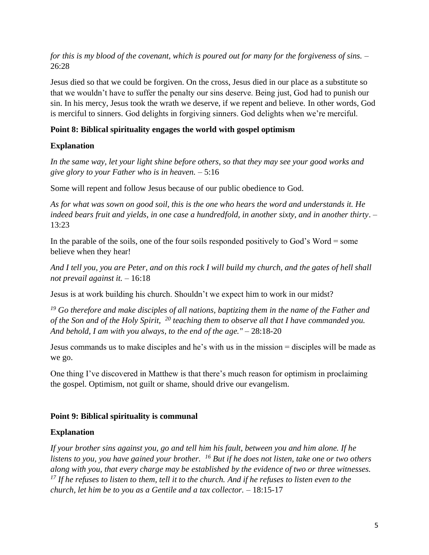*for this is my blood of the covenant, which is poured out for many for the forgiveness of sins.* – 26:28

Jesus died so that we could be forgiven. On the cross, Jesus died in our place as a substitute so that we wouldn't have to suffer the penalty our sins deserve. Being just, God had to punish our sin. In his mercy, Jesus took the wrath we deserve, if we repent and believe. In other words, God is merciful to sinners. God delights in forgiving sinners. God delights when we're merciful.

# **Point 8: Biblical spirituality engages the world with gospel optimism**

# **Explanation**

*In the same way, let your light shine before others, so that they may see your good works and give glory to your Father who is in heaven.* – 5:16

Some will repent and follow Jesus because of our public obedience to God.

*As for what was sown on good soil, this is the one who hears the word and understands it. He indeed bears fruit and yields, in one case a hundredfold, in another sixty, and in another thirty*. – 13:23

In the parable of the soils, one of the four soils responded positively to God's Word  $=$  some believe when they hear!

*And I tell you, you are Peter, and on this rock I will build my church, and the gates of hell shall not prevail against it.* – 16:18

Jesus is at work building his church. Shouldn't we expect him to work in our midst?

*<sup>19</sup> Go therefore and make disciples of all nations, baptizing them in the name of the Father and of the Son and of the Holy Spirit, <sup>20</sup> teaching them to observe all that I have commanded you. And behold, I am with you always, to the end of the age."* – 28:18-20

Jesus commands us to make disciples and he's with us in the mission = disciples will be made as we go.

One thing I've discovered in Matthew is that there's much reason for optimism in proclaiming the gospel. Optimism, not guilt or shame, should drive our evangelism.

# **Point 9: Biblical spirituality is communal**

# **Explanation**

*If your brother sins against you, go and tell him his fault, between you and him alone. If he listens to you, you have gained your brother. <sup>16</sup> But if he does not listen, take one or two others along with you, that every charge may be established by the evidence of two or three witnesses. <sup>17</sup> If he refuses to listen to them, tell it to the church. And if he refuses to listen even to the church, let him be to you as a Gentile and a tax collector.* – 18:15-17